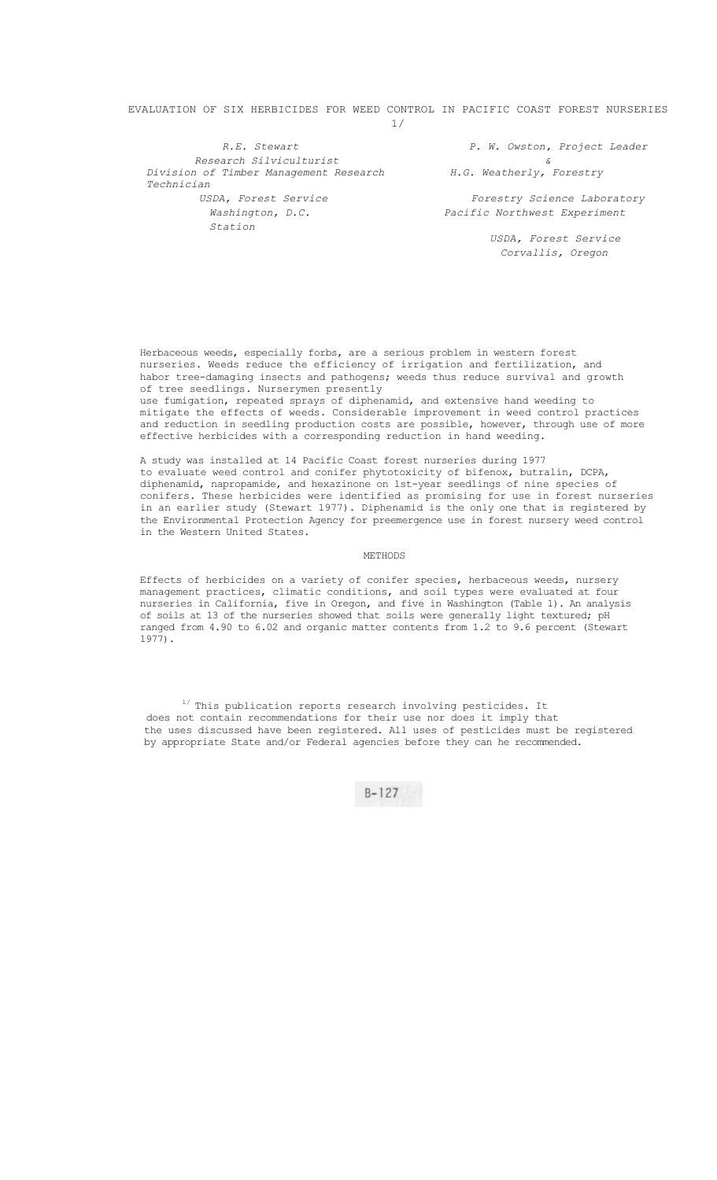# EVALUATION OF SIX HERBICIDES FOR WEED CONTROL IN PACIFIC COAST FOREST NURSERIES 1/

*Research Silviculturist & Division of Timber Management Research H.G. Weatherly, Forestry Technician Washington, D.C. Pacific Northwest Experiment Station* 

*R.E. Stewart P. W. Owston, Project Leader* 

*USDA, Forest Service Forestry Science Laboratory* 

*USDA, Forest Service Corvallis, Oregon* 

Herbaceous weeds, especially forbs, are a serious problem in western forest nurseries. Weeds reduce the efficiency of irrigation and fertilization, and habor tree-damaging insects and pathogens; weeds thus reduce survival and growth of tree seedlings. Nurserymen presently

use fumigation, repeated sprays of diphenamid, and extensive hand weeding to mitigate the effects of weeds. Considerable improvement in weed control practices and reduction in seedling production costs are possible, however, through use of more effective herbicides with a corresponding reduction in hand weeding.

A study was installed at 14 Pacific Coast forest nurseries during 1977 to evaluate weed control and conifer phytotoxicity of bifenox, butralin, DCPA, diphenamid, napropamide, and hexazinone on lst-year seedlings of nine species of conifers. These herbicides were identified as promising for use in forest nurseries in an earlier study (Stewart 1977). Diphenamid is the only one that is registered by the Environmental Protection Agency for preemergence use in forest nursery weed control in the Western United States.

### METHODS

Effects of herbicides on a variety of conifer species, herbaceous weeds, nursery management practices, climatic conditions, and soil types were evaluated at four nurseries in California, five in Oregon, and five in Washington (Table 1). An analysis of soils at 13 of the nurseries showed that soils were generally light textured; pH ranged from 4.90 to 6.02 and organic matter contents from 1.2 to 9.6 percent (Stewart 1977).

 $1/$  This publication reports research involving pesticides. It does not contain recommendations for their use nor does it imply that the uses discussed have been registered. All uses of pesticides must be registered by appropriate State and/or Federal agencies before they can he recommended.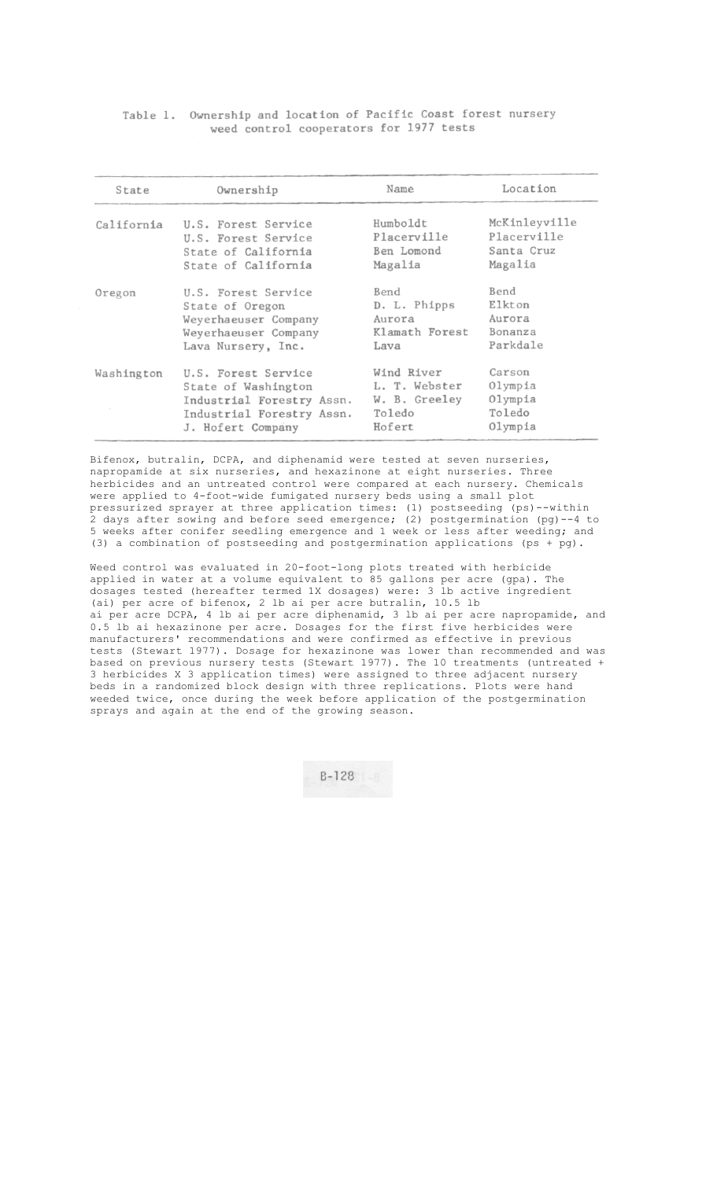Table 1. Ownership and location of Pacific Coast forest nursery weed control cooperators for 1977 tests

| State      | Ownership                 | Name           | Location      |  |  |  |
|------------|---------------------------|----------------|---------------|--|--|--|
| California | U.S. Forest Service       | Humboldt       | McKinleyville |  |  |  |
|            | U.S. Forest Service       | Placerville    | Placerville   |  |  |  |
|            | State of California       | Ben Lomond     | Santa Cruz    |  |  |  |
|            | State of California       | Magalia        | Magalia       |  |  |  |
| Oregon     | U.S. Forest Service       | Bend           | Bend          |  |  |  |
|            | State of Oregon           | D. L. Phipps   | Elkton        |  |  |  |
|            | Weyerhaeuser Company      | Aurora         | Aurora        |  |  |  |
|            | Weyerhaeuser Company      | Klamath Forest | Bonanza       |  |  |  |
|            | Lava Nursery, Inc.        | Lava           | Parkdale      |  |  |  |
| Washington | U.S. Forest Service       | Wind River     | Carson        |  |  |  |
|            | State of Washington       | L. T. Webster  | Olympia       |  |  |  |
|            | Industrial Forestry Assn. | W. B. Greeley  | Olympia       |  |  |  |
|            | Industrial Forestry Assn. | Toledo         | Toledo        |  |  |  |
|            | J. Hofert Company         | Hofert         | Olympia       |  |  |  |

Bifenox, butralin, DCPA, and diphenamid were tested at seven nurseries, napropamide at six nurseries, and hexazinone at eight nurseries. Three herbicides and an untreated control were compared at each nursery. Chemicals were applied to 4-foot-wide fumigated nursery beds using a small plot pressurized sprayer at three application times: (1) postseeding (ps)--within 2 days after sowing and before seed emergence; (2) postgermination (pg)--4 to 5 weeks after conifer seedling emergence and 1 week or less after weeding; and (3) a combination of postseeding and postgermination applications (ps + pg).

Weed control was evaluated in 20-foot-long plots treated with herbicide applied in water at a volume equivalent to 85 gallons per acre (gpa). The dosages tested (hereafter termed 1X dosages) were: 3 lb active ingredient (ai) per acre of bifenox, 2 lb ai per acre butralin, 10.5 lb ai per acre DCPA, 4 lb ai per acre diphenamid, 3 lb ai per acre napropamide, and 0.5 lb ai hexazinone per acre. Dosages for the first five herbicides were manufacturers' recommendations and were confirmed as effective in previous tests (Stewart 1977). Dosage for hexazinone was lower than recommended and was based on previous nursery tests (Stewart 1977). The 10 treatments (untreated + 3 herbicides X 3 application times) were assigned to three adjacent nursery beds in a randomized block design with three replications. Plots were hand weeded twice, once during the week before application of the postgermination sprays and again at the end of the growing season.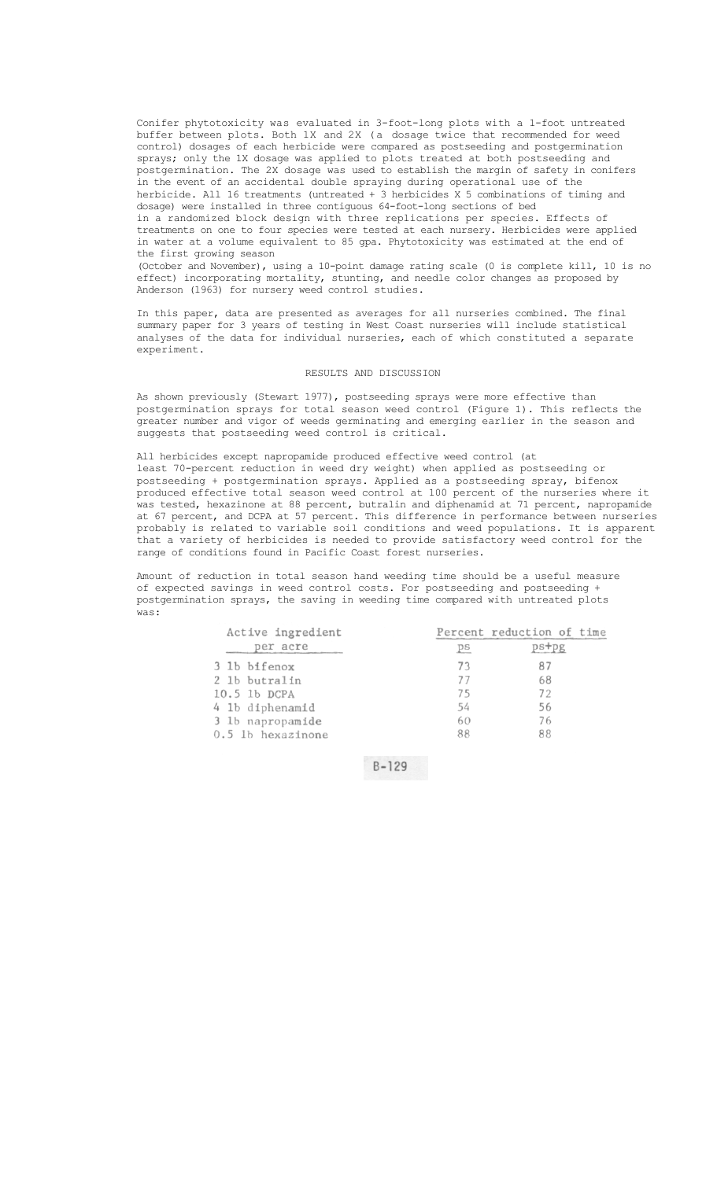Conifer phytotoxicity was evaluated in 3-foot-long plots with a 1-foot untreated buffer between plots. Both 1X and 2X (a dosage twice that recommended for weed control) dosages of each herbicide were compared as postseeding and postgermination sprays; only the 1X dosage was applied to plots treated at both postseeding and postgermination. The 2X dosage was used to establish the margin of safety in conifers in the event of an accidental double spraying during operational use of the herbicide. All 16 treatments (untreated + 3 herbicides X 5 combinations of timing and dosage) were installed in three contiguous 64-foot-long sections of bed in a randomized block design with three replications per species. Effects of

treatments on one to four species were tested at each nursery. Herbicides were applied in water at a volume equivalent to 85 gpa. Phytotoxicity was estimated at the end of the first growing season

(October and November), using a 10-point damage rating scale (0 is complete kill, 10 is no effect) incorporating mortality, stunting, and needle color changes as proposed by Anderson (1963) for nursery weed control studies.

In this paper, data are presented as averages for all nurseries combined. The final summary paper for 3 years of testing in West Coast nurseries will include statistical analyses of the data for individual nurseries, each of which constituted a separate experiment.

#### RESULTS AND DISCUSSION

As shown previously (Stewart 1977), postseeding sprays were more effective than postgermination sprays for total season weed control (Figure 1). This reflects the greater number and vigor of weeds germinating and emerging earlier in the season and suggests that postseeding weed control is critical.

All herbicides except napropamide produced effective weed control (at least 70-percent reduction in weed dry weight) when applied as postseeding or postseeding + postgermination sprays. Applied as a postseeding spray, bifenox produced effective total season weed control at 100 percent of the nurseries where it .<br>was tested, hexazinone at 88 percent, butralin and diphenamid at 71 percent, napropamide at 67 percent, and DCPA at 57 percent. This difference in performance between nurseries probably is related to variable soil conditions and weed populations. It is apparent that a variety of herbicides is needed to provide satisfactory weed control for the range of conditions found in Pacific Coast forest nurseries.

Amount of reduction in total season hand weeding time should be a useful measure of expected savings in weed control costs. For postseeding and postseeding + postgermination sprays, the saving in weeding time compared with untreated plots was:

| Active ingredient |             | Percent reduction of time |  |  |  |
|-------------------|-------------|---------------------------|--|--|--|
| per acre          | $p_{\rm S}$ | $ps+pg$                   |  |  |  |
| 3 lb bifenox      | 73          | 87                        |  |  |  |
| 2 1b butralin     | 77          | 68                        |  |  |  |
| 10.5 1b DCPA      | 75          | 72<br>56                  |  |  |  |
| 4 1b diphenamid   | 54          |                           |  |  |  |
| 3 1b napropamide  | 60          | 76                        |  |  |  |
| 0.5 lb hexazinone | 88          | 88                        |  |  |  |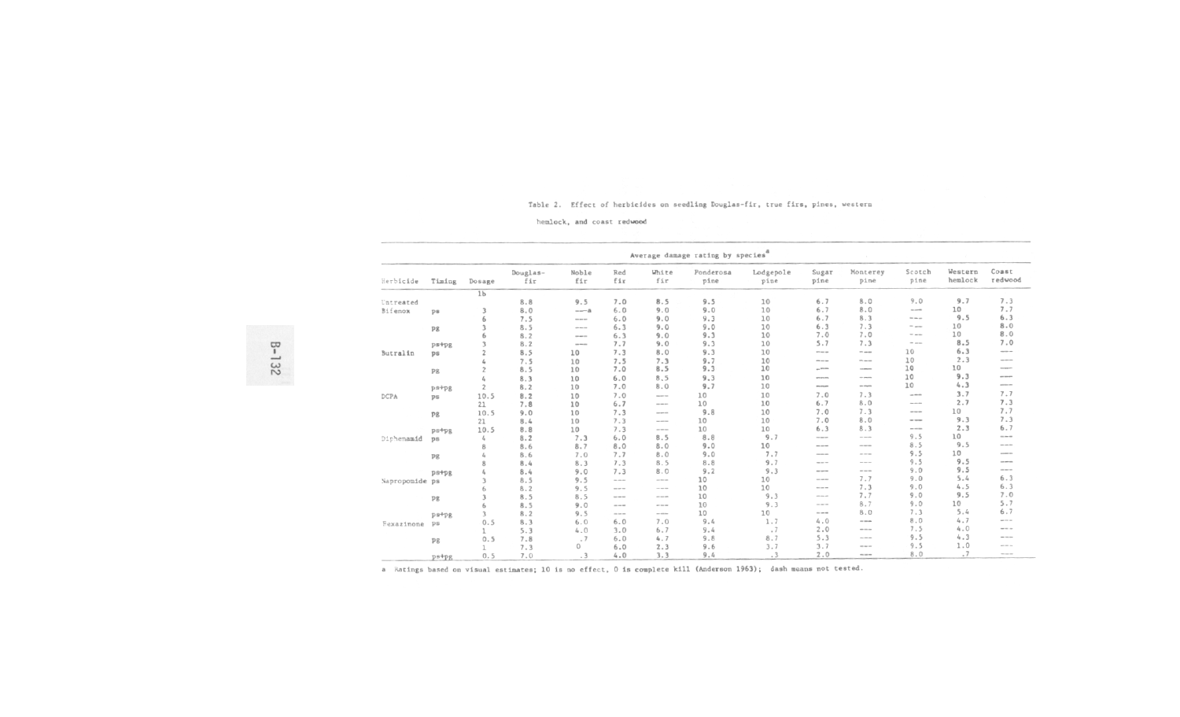# Table 2. Effect of herbicides on seedling Douglas-fir, true firs, pines, western

hemlock, and coast redwood

| Average damage rating by species <sup>8</sup> |                |                |                 |                      |                                                                                                                                                      |                                                                                                                                                                                                                                                                                                                                                                                                                                                                            |                   |                   |                                                                                                                                                                              |                                                                                                                                                                                                                                                                                                                                                                                                                          |                                                                                                                                                                                                                                                                                                                                                                                                                                                                            |                    |                                                                                                                                                                                                                                                                                                                                                                                                                                                                            |
|-----------------------------------------------|----------------|----------------|-----------------|----------------------|------------------------------------------------------------------------------------------------------------------------------------------------------|----------------------------------------------------------------------------------------------------------------------------------------------------------------------------------------------------------------------------------------------------------------------------------------------------------------------------------------------------------------------------------------------------------------------------------------------------------------------------|-------------------|-------------------|------------------------------------------------------------------------------------------------------------------------------------------------------------------------------|--------------------------------------------------------------------------------------------------------------------------------------------------------------------------------------------------------------------------------------------------------------------------------------------------------------------------------------------------------------------------------------------------------------------------|----------------------------------------------------------------------------------------------------------------------------------------------------------------------------------------------------------------------------------------------------------------------------------------------------------------------------------------------------------------------------------------------------------------------------------------------------------------------------|--------------------|----------------------------------------------------------------------------------------------------------------------------------------------------------------------------------------------------------------------------------------------------------------------------------------------------------------------------------------------------------------------------------------------------------------------------------------------------------------------------|
| Herbicide                                     | Timing         | Dosage         | Douglas-<br>fir | Noble<br>fir         | Red<br>fir                                                                                                                                           | White<br>fir                                                                                                                                                                                                                                                                                                                                                                                                                                                               | Ponderosa<br>pine | Lodgepole<br>pine | Sugar<br>pine                                                                                                                                                                | Monterey<br>pine                                                                                                                                                                                                                                                                                                                                                                                                         | Scotch<br>pine                                                                                                                                                                                                                                                                                                                                                                                                                                                             | Western<br>hemlock | Coast<br>redwood                                                                                                                                                                                                                                                                                                                                                                                                                                                           |
|                                               |                | 1 <sub>b</sub> |                 |                      |                                                                                                                                                      |                                                                                                                                                                                                                                                                                                                                                                                                                                                                            |                   |                   |                                                                                                                                                                              |                                                                                                                                                                                                                                                                                                                                                                                                                          |                                                                                                                                                                                                                                                                                                                                                                                                                                                                            |                    |                                                                                                                                                                                                                                                                                                                                                                                                                                                                            |
| Untreated                                     |                |                | 8.8             | 9.5                  | 7.0                                                                                                                                                  | 8.5                                                                                                                                                                                                                                                                                                                                                                                                                                                                        | 9.5               | 10                | 6.7                                                                                                                                                                          | 8.0                                                                                                                                                                                                                                                                                                                                                                                                                      | 9.0                                                                                                                                                                                                                                                                                                                                                                                                                                                                        | 9.7                | 7.3                                                                                                                                                                                                                                                                                                                                                                                                                                                                        |
| Bifenox                                       | ps             | ٦              | 8.0             | $--a$                | 6.0                                                                                                                                                  | 9.0                                                                                                                                                                                                                                                                                                                                                                                                                                                                        | 9.0               | 10                | 6.7                                                                                                                                                                          | 8.0                                                                                                                                                                                                                                                                                                                                                                                                                      | $10-100$                                                                                                                                                                                                                                                                                                                                                                                                                                                                   | 10                 | 7.7                                                                                                                                                                                                                                                                                                                                                                                                                                                                        |
|                                               |                | 6              | 7.5             | <b>SILL AND SIZE</b> | 6.0                                                                                                                                                  | 9.0                                                                                                                                                                                                                                                                                                                                                                                                                                                                        | 9.3               | 10                | 6.7                                                                                                                                                                          | 8.3                                                                                                                                                                                                                                                                                                                                                                                                                      | $\cdots$                                                                                                                                                                                                                                                                                                                                                                                                                                                                   | 9.5                | 6.3                                                                                                                                                                                                                                                                                                                                                                                                                                                                        |
|                                               | P <sub>8</sub> |                | 8.5             | ----                 | 6.3                                                                                                                                                  | 9.0                                                                                                                                                                                                                                                                                                                                                                                                                                                                        | 9.0               | 10                | 6.3                                                                                                                                                                          | 7.3                                                                                                                                                                                                                                                                                                                                                                                                                      | $=$ $-$                                                                                                                                                                                                                                                                                                                                                                                                                                                                    | 10                 | 8.0                                                                                                                                                                                                                                                                                                                                                                                                                                                                        |
|                                               |                |                | 8.2             | $\frac{1}{2}$        | 6.3                                                                                                                                                  | 9.0                                                                                                                                                                                                                                                                                                                                                                                                                                                                        | 9.3               | 10                | 7.0                                                                                                                                                                          | 7.0                                                                                                                                                                                                                                                                                                                                                                                                                      | $\frac{1}{2} \left( \frac{1}{2} \right) \left( \frac{1}{2} \right) \left( \frac{1}{2} \right) \left( \frac{1}{2} \right) \left( \frac{1}{2} \right) \left( \frac{1}{2} \right) \left( \frac{1}{2} \right) \left( \frac{1}{2} \right) \left( \frac{1}{2} \right) \left( \frac{1}{2} \right) \left( \frac{1}{2} \right) \left( \frac{1}{2} \right) \left( \frac{1}{2} \right) \left( \frac{1}{2} \right) \left( \frac{1}{2} \right) \left( \frac{1}{2} \right) \left( \frac$ | 10                 | 8.0                                                                                                                                                                                                                                                                                                                                                                                                                                                                        |
|                                               | ps+pg          |                | 8.2             | and manager          | 7.7                                                                                                                                                  | 9.0                                                                                                                                                                                                                                                                                                                                                                                                                                                                        | 9.3               | 10                | 5.7                                                                                                                                                                          | 7.3                                                                                                                                                                                                                                                                                                                                                                                                                      | $\frac{1}{2} \left( \frac{1}{2} \right) \left( \frac{1}{2} \right) \left( \frac{1}{2} \right) \left( \frac{1}{2} \right)$                                                                                                                                                                                                                                                                                                                                                  | 8.5                | 7.0                                                                                                                                                                                                                                                                                                                                                                                                                                                                        |
| Butralin                                      | ps             | $\mathcal{D}$  | 8.5             | 10                   | 7.3                                                                                                                                                  | 8.0                                                                                                                                                                                                                                                                                                                                                                                                                                                                        | 9.3               | 10                | <b>STATISTICS</b>                                                                                                                                                            | $\cdots$                                                                                                                                                                                                                                                                                                                                                                                                                 | 10                                                                                                                                                                                                                                                                                                                                                                                                                                                                         | 6.3                | $\frac{1}{2} \left( \frac{1}{2} \right) \left( \frac{1}{2} \right) \left( \frac{1}{2} \right) \left( \frac{1}{2} \right) \left( \frac{1}{2} \right)$                                                                                                                                                                                                                                                                                                                       |
|                                               |                |                | 7.5             | 10                   | 7.5                                                                                                                                                  | 7.3                                                                                                                                                                                                                                                                                                                                                                                                                                                                        | 9.7               | 10                | ---                                                                                                                                                                          | $m = -$                                                                                                                                                                                                                                                                                                                                                                                                                  | 10                                                                                                                                                                                                                                                                                                                                                                                                                                                                         | 2.3                | ---                                                                                                                                                                                                                                                                                                                                                                                                                                                                        |
|                                               | P <sub>8</sub> |                | 8.5             | 10                   | 7.0                                                                                                                                                  | 8.5                                                                                                                                                                                                                                                                                                                                                                                                                                                                        | 9.3               | 10                | and with street.                                                                                                                                                             | consumers.                                                                                                                                                                                                                                                                                                                                                                                                               | 10                                                                                                                                                                                                                                                                                                                                                                                                                                                                         | 10                 | ensurer                                                                                                                                                                                                                                                                                                                                                                                                                                                                    |
|                                               |                |                | 8.3             | 10                   | 6.0                                                                                                                                                  | 8.5                                                                                                                                                                                                                                                                                                                                                                                                                                                                        | 9.3               | 10                | -----                                                                                                                                                                        | $\cdots$                                                                                                                                                                                                                                                                                                                                                                                                                 | 10                                                                                                                                                                                                                                                                                                                                                                                                                                                                         | 9.3                | an an en                                                                                                                                                                                                                                                                                                                                                                                                                                                                   |
|                                               | ps+pg          | $\overline{2}$ | 8.2             | 10                   | 7.0                                                                                                                                                  | 8.0                                                                                                                                                                                                                                                                                                                                                                                                                                                                        | 9.7               | 10                | <b>BRANDLING</b>                                                                                                                                                             | $\alpha m$ and $\alpha m$                                                                                                                                                                                                                                                                                                                                                                                                | 10                                                                                                                                                                                                                                                                                                                                                                                                                                                                         | 4.3                | and the way                                                                                                                                                                                                                                                                                                                                                                                                                                                                |
| DCPA                                          | ps             | 10.5           | 8.2             | 10                   | 7.0                                                                                                                                                  | <b>SEARCH FOR</b>                                                                                                                                                                                                                                                                                                                                                                                                                                                          | 10                | 10                | 7.0                                                                                                                                                                          | 7.3                                                                                                                                                                                                                                                                                                                                                                                                                      | $-$                                                                                                                                                                                                                                                                                                                                                                                                                                                                        | 3.7                | 7.7                                                                                                                                                                                                                                                                                                                                                                                                                                                                        |
|                                               |                | 21             | 7.8             | 10                   | 6.7                                                                                                                                                  | <b>STATE AND ARTS</b>                                                                                                                                                                                                                                                                                                                                                                                                                                                      | 10                | 10                | 6.7                                                                                                                                                                          | 8.0                                                                                                                                                                                                                                                                                                                                                                                                                      | $-100 - 000$                                                                                                                                                                                                                                                                                                                                                                                                                                                               | 2.7                | 7.3                                                                                                                                                                                                                                                                                                                                                                                                                                                                        |
|                                               | <b>Pg</b>      | 10.5           | 9.0             | 10                   | 7.3                                                                                                                                                  | <b>Side and All</b>                                                                                                                                                                                                                                                                                                                                                                                                                                                        | 9.8               | 10                | 7.0                                                                                                                                                                          | 7.3                                                                                                                                                                                                                                                                                                                                                                                                                      | $\frac{1}{2} \left( \frac{1}{2} \right) \left( \frac{1}{2} \right) \left( \frac{1}{2} \right) \left( \frac{1}{2} \right) \left( \frac{1}{2} \right)$                                                                                                                                                                                                                                                                                                                       | 10                 | 7.7                                                                                                                                                                                                                                                                                                                                                                                                                                                                        |
|                                               |                | 21             | 8.4             | 10                   | 7.3                                                                                                                                                  | $100 - 100 = 100$                                                                                                                                                                                                                                                                                                                                                                                                                                                          | 10                | 10                | 7.0                                                                                                                                                                          | 8.0                                                                                                                                                                                                                                                                                                                                                                                                                      | $-$ -1000                                                                                                                                                                                                                                                                                                                                                                                                                                                                  | 9.3                | 7.3                                                                                                                                                                                                                                                                                                                                                                                                                                                                        |
|                                               | ps+pg          | 10.5           | 8.8             | 10                   | 7.3                                                                                                                                                  |                                                                                                                                                                                                                                                                                                                                                                                                                                                                            | 10                | 10                | 6.3                                                                                                                                                                          | 8.3                                                                                                                                                                                                                                                                                                                                                                                                                      | $\frac{1}{2} \left( \frac{1}{2} \right) \left( \frac{1}{2} \right) \left( \frac{1}{2} \right) \left( \frac{1}{2} \right) \left( \frac{1}{2} \right)$                                                                                                                                                                                                                                                                                                                       | 2.3                | 6.7                                                                                                                                                                                                                                                                                                                                                                                                                                                                        |
| Diphenamid                                    | <b>DS</b>      | 4              | 8.2             | 7.3                  | 6.0                                                                                                                                                  | 8.5                                                                                                                                                                                                                                                                                                                                                                                                                                                                        | 8.8               | 9.7               | ---                                                                                                                                                                          | $\sim$ - $\sim$                                                                                                                                                                                                                                                                                                                                                                                                          | 9.5                                                                                                                                                                                                                                                                                                                                                                                                                                                                        | 10                 | $\cdots$                                                                                                                                                                                                                                                                                                                                                                                                                                                                   |
|                                               |                |                | 8.6             | 8.7                  | 8.0                                                                                                                                                  | 8.0                                                                                                                                                                                                                                                                                                                                                                                                                                                                        | 9.0               | 10                | ---                                                                                                                                                                          | $\label{eq:1} \begin{aligned} \mathcal{L}^{(0)}(x) &= \mathcal{L}^{(0)}(x) \otimes \mathcal{L}^{(0)}(x) \otimes \mathcal{L}^{(0)}(x) \otimes \mathcal{L}^{(0)}(x) \otimes \mathcal{L}^{(0)}(x) \otimes \mathcal{L}^{(0)}(x) \otimes \mathcal{L}^{(0)}(x) \otimes \mathcal{L}^{(0)}(x) \otimes \mathcal{L}^{(0)}(x) \otimes \mathcal{L}^{(0)}(x) \otimes \mathcal{L}^{(0)}(x) \otimes \mathcal{L}^{(0)}(x) \otimes \math$ | 8.5                                                                                                                                                                                                                                                                                                                                                                                                                                                                        | 9.5                | $\frac{1}{2} \left( \frac{1}{2} \right) \left( \frac{1}{2} \right) \left( \frac{1}{2} \right) \left( \frac{1}{2} \right) \left( \frac{1}{2} \right) \left( \frac{1}{2} \right) \left( \frac{1}{2} \right) \left( \frac{1}{2} \right) \left( \frac{1}{2} \right) \left( \frac{1}{2} \right) \left( \frac{1}{2} \right) \left( \frac{1}{2} \right) \left( \frac{1}{2} \right) \left( \frac{1}{2} \right) \left( \frac{1}{2} \right) \left( \frac{1}{2} \right) \left( \frac$ |
|                                               | Pg             |                | 8.6             | 7.0                  | 7.7                                                                                                                                                  | 8.0                                                                                                                                                                                                                                                                                                                                                                                                                                                                        | 9.0               | 7.7               | considerates                                                                                                                                                                 | $\cdots \cdots \cdots$                                                                                                                                                                                                                                                                                                                                                                                                   | 9.5                                                                                                                                                                                                                                                                                                                                                                                                                                                                        | 10                 | ----                                                                                                                                                                                                                                                                                                                                                                                                                                                                       |
|                                               |                |                | 8.4             | 8.3                  | 7.3                                                                                                                                                  | 8.5                                                                                                                                                                                                                                                                                                                                                                                                                                                                        | 8.8               | 9.7               | $\frac{1}{2} \left( \frac{1}{2} \right) \left( \frac{1}{2} \right) \left( \frac{1}{2} \right) \left( \frac{1}{2} \right)$                                                    | $\frac{1}{2} \left( \frac{1}{2} \right) \left( \frac{1}{2} \right) \left( \frac{1}{2} \right) \left( \frac{1}{2} \right) \left( \frac{1}{2} \right)$                                                                                                                                                                                                                                                                     | 9.5                                                                                                                                                                                                                                                                                                                                                                                                                                                                        | 9.5                | ----                                                                                                                                                                                                                                                                                                                                                                                                                                                                       |
|                                               | ps+pg          |                | 8.4             | 9.0                  | 7.3                                                                                                                                                  | 8.0                                                                                                                                                                                                                                                                                                                                                                                                                                                                        | 9.2               | 9.3               | $-$                                                                                                                                                                          | $\cdots \cdots \cdots$                                                                                                                                                                                                                                                                                                                                                                                                   | 9.0                                                                                                                                                                                                                                                                                                                                                                                                                                                                        | 9.5                | ---                                                                                                                                                                                                                                                                                                                                                                                                                                                                        |
| Napropomide ps                                |                |                | 8.5             | 9.5                  | $m \rightarrow m \rightarrow m$                                                                                                                      | $\frac{1}{2} \left( \frac{1}{2} \right) \left( \frac{1}{2} \right) \left( \frac{1}{2} \right) \left( \frac{1}{2} \right) \left( \frac{1}{2} \right) \left( \frac{1}{2} \right) \left( \frac{1}{2} \right) \left( \frac{1}{2} \right) \left( \frac{1}{2} \right) \left( \frac{1}{2} \right) \left( \frac{1}{2} \right) \left( \frac{1}{2} \right) \left( \frac{1}{2} \right) \left( \frac{1}{2} \right) \left( \frac{1}{2} \right) \left( \frac{1}{2} \right) \left( \frac$ | 10                | 10                | $\label{eq:1.1} \begin{split} \mathcal{L}_{\text{max}}(\mathcal{L}_{\text{max}},\mathcal{L}_{\text{max}}) = \mathcal{L}_{\text{max}}(\mathcal{L}_{\text{max}}), \end{split}$ | 7.7                                                                                                                                                                                                                                                                                                                                                                                                                      | 9.0                                                                                                                                                                                                                                                                                                                                                                                                                                                                        | 5.4                | 6.3                                                                                                                                                                                                                                                                                                                                                                                                                                                                        |
|                                               |                |                | 8.2             | 9.5                  | $\alpha=100$ mm $^{-1}$                                                                                                                              | $\cdots$                                                                                                                                                                                                                                                                                                                                                                                                                                                                   | 10                | 10                | $\alpha = 100$                                                                                                                                                               | 7.3                                                                                                                                                                                                                                                                                                                                                                                                                      | 9.0                                                                                                                                                                                                                                                                                                                                                                                                                                                                        | 4.5                | 6.3                                                                                                                                                                                                                                                                                                                                                                                                                                                                        |
|                                               | Pg             |                | 8.5             | 8.5                  | $\frac{1}{2} \left( \frac{1}{2} \right) \left( \frac{1}{2} \right) \left( \frac{1}{2} \right) \left( \frac{1}{2} \right)$                            | and state and                                                                                                                                                                                                                                                                                                                                                                                                                                                              | 10                | 9.3               | and one and                                                                                                                                                                  | 7.7                                                                                                                                                                                                                                                                                                                                                                                                                      | 9.0                                                                                                                                                                                                                                                                                                                                                                                                                                                                        | 9.5                | 7.0                                                                                                                                                                                                                                                                                                                                                                                                                                                                        |
|                                               |                | 6              | 8.5             | 9.0                  | $\frac{1}{2} \left( \frac{1}{2} \right) \left( \frac{1}{2} \right) \left( \frac{1}{2} \right) \left( \frac{1}{2} \right) \left( \frac{1}{2} \right)$ | $-$                                                                                                                                                                                                                                                                                                                                                                                                                                                                        | 10                | 9.3               | $\frac{1}{2} \left( \frac{1}{2} \right) \left( \frac{1}{2} \right) \left( \frac{1}{2} \right) \left( \frac{1}{2} \right) \left( \frac{1}{2} \right)$                         | 8.7                                                                                                                                                                                                                                                                                                                                                                                                                      | 9.0                                                                                                                                                                                                                                                                                                                                                                                                                                                                        | 10                 | 5.7                                                                                                                                                                                                                                                                                                                                                                                                                                                                        |
|                                               | ps+pg          | 3              | 8.2             | 9.5                  | $\alpha$ and $\alpha$ and $\alpha$                                                                                                                   | $\frac{1}{2} \left( \frac{1}{2} \right) \left( \frac{1}{2} \right) \left( \frac{1}{2} \right) \left( \frac{1}{2} \right) \left( \frac{1}{2} \right)$                                                                                                                                                                                                                                                                                                                       | 10                | 10                | $\frac{1}{2} \left( \frac{1}{2} \right) \left( \frac{1}{2} \right) \left( \frac{1}{2} \right) \left( \frac{1}{2} \right) \left( \frac{1}{2} \right)$                         | 8.0                                                                                                                                                                                                                                                                                                                                                                                                                      | 7.3                                                                                                                                                                                                                                                                                                                                                                                                                                                                        | 5.4                | 6.7                                                                                                                                                                                                                                                                                                                                                                                                                                                                        |
| Fexazinone                                    | ps             | 0.5            | 8.3             | 6.0                  | 6.0                                                                                                                                                  | 7.0                                                                                                                                                                                                                                                                                                                                                                                                                                                                        | 9.4               | 1.7               | 4.0                                                                                                                                                                          | $- - -$                                                                                                                                                                                                                                                                                                                                                                                                                  | 8.0                                                                                                                                                                                                                                                                                                                                                                                                                                                                        | 4.7                | and the con-                                                                                                                                                                                                                                                                                                                                                                                                                                                               |
|                                               |                | ı              | 5.3             | 4.0                  | 3.0                                                                                                                                                  | 6.7                                                                                                                                                                                                                                                                                                                                                                                                                                                                        | 9.4               | .7                | 2.0                                                                                                                                                                          | ---                                                                                                                                                                                                                                                                                                                                                                                                                      | 7.5                                                                                                                                                                                                                                                                                                                                                                                                                                                                        | 4.0                | $\frac{1}{2} \left( \frac{1}{2} \right) \left( \frac{1}{2} \right) \left( \frac{1}{2} \right) \left( \frac{1}{2} \right) \left( \frac{1}{2} \right) \left( \frac{1}{2} \right) \left( \frac{1}{2} \right) \left( \frac{1}{2} \right) \left( \frac{1}{2} \right) \left( \frac{1}{2} \right) \left( \frac{1}{2} \right) \left( \frac{1}{2} \right) \left( \frac{1}{2} \right) \left( \frac{1}{2} \right) \left( \frac{1}{2} \right) \left( \frac{1}{2} \right) \left( \frac$ |
|                                               | pg             | 0.5            | 7.8             | .7                   | 6.0                                                                                                                                                  | 4.7                                                                                                                                                                                                                                                                                                                                                                                                                                                                        | 9.8               | 8.7               | 5.3                                                                                                                                                                          | ---                                                                                                                                                                                                                                                                                                                                                                                                                      | 9.5                                                                                                                                                                                                                                                                                                                                                                                                                                                                        | 4.3                | $-$                                                                                                                                                                                                                                                                                                                                                                                                                                                                        |
|                                               |                | 1              | 7.3             | $\circ$              | 6.0                                                                                                                                                  | 2.3                                                                                                                                                                                                                                                                                                                                                                                                                                                                        | 9.6               | 3.7               | 3.7                                                                                                                                                                          | ---                                                                                                                                                                                                                                                                                                                                                                                                                      | 9.5                                                                                                                                                                                                                                                                                                                                                                                                                                                                        | 1.0                | $\frac{1}{2} \left( \frac{1}{2} \right) \left( \frac{1}{2} \right) \left( \frac{1}{2} \right) \left( \frac{1}{2} \right) \left( \frac{1}{2} \right) \left( \frac{1}{2} \right) \left( \frac{1}{2} \right) \left( \frac{1}{2} \right) \left( \frac{1}{2} \right) \left( \frac{1}{2} \right) \left( \frac{1}{2} \right) \left( \frac{1}{2} \right) \left( \frac{1}{2} \right) \left( \frac{1}{2} \right) \left( \frac{1}{2} \right) \left( \frac{1}{2} \right) \left( \frac$ |
|                                               | ps+pg          | 0.5            | 7.0             | .3                   | 4.0                                                                                                                                                  | 3.3                                                                                                                                                                                                                                                                                                                                                                                                                                                                        | 9.4               | .3                | 2.0                                                                                                                                                                          | en se en                                                                                                                                                                                                                                                                                                                                                                                                                 | 8.0                                                                                                                                                                                                                                                                                                                                                                                                                                                                        | .7                 | ----                                                                                                                                                                                                                                                                                                                                                                                                                                                                       |

a Ratings based on visual estimates; 10 is no effect, 0 is complete kill (Anderson 1963); dash means not tested.